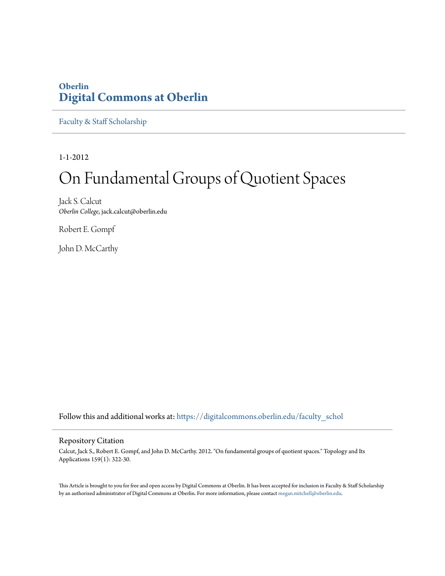# **Oberlin [Digital Commons at Oberlin](https://digitalcommons.oberlin.edu?utm_source=digitalcommons.oberlin.edu%2Ffaculty_schol%2F1665&utm_medium=PDF&utm_campaign=PDFCoverPages)**

[Faculty & Staff Scholarship](https://digitalcommons.oberlin.edu/faculty_schol?utm_source=digitalcommons.oberlin.edu%2Ffaculty_schol%2F1665&utm_medium=PDF&utm_campaign=PDFCoverPages)

1-1-2012

# On Fundamental Groups of Quotient Spaces

Jack S. Calcut *Oberlin College*, jack.calcut@oberlin.edu

Robert E. Gompf

John D. McCarthy

Follow this and additional works at: [https://digitalcommons.oberlin.edu/faculty\\_schol](https://digitalcommons.oberlin.edu/faculty_schol?utm_source=digitalcommons.oberlin.edu%2Ffaculty_schol%2F1665&utm_medium=PDF&utm_campaign=PDFCoverPages)

## Repository Citation

Calcut, Jack S., Robert E. Gompf, and John D. McCarthy. 2012. "On fundamental groups of quotient spaces." Topology and Its Applications 159(1): 322-30.

This Article is brought to you for free and open access by Digital Commons at Oberlin. It has been accepted for inclusion in Faculty & Staff Scholarship by an authorized administrator of Digital Commons at Oberlin. For more information, please contact [megan.mitchell@oberlin.edu.](mailto:megan.mitchell@oberlin.edu)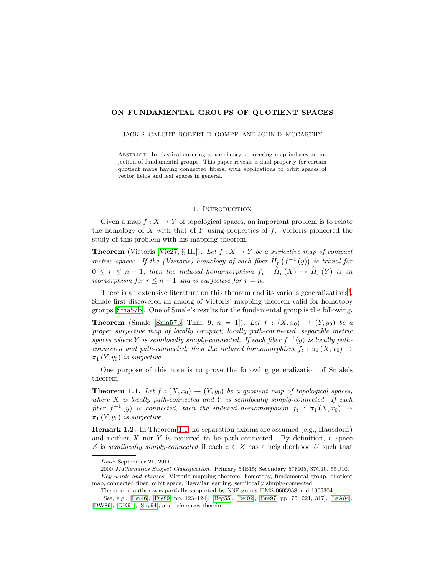### **ON FUNDAMENTAL GROUPS OF QUOTIENT SPACES**

JACK S. CALCUT, ROBERT E. GOMPF, AND JOHN D. MCCARTHY

Abstract. In classical covering space theory, a covering map induces an injection of fundamental groups. This paper reveals a dual property for certain quotient maps having connected fibers, with applications to orbit spaces of vector fields and leaf spaces in general.

#### 1. INTRODUCTION

<span id="page-1-2"></span>Given a map  $f: X \to Y$  of topological spaces, an important problem is to relate the homology of  $X$  with that of  $Y$  using properties of  $f$ . Vietoris pioneered the study of this problem with his mapping theorem.

**Theorem** (Vietoris [\[Vie27,](#page-12-0) § III]). *Let*  $f : X \to Y$  *be a surjective map of compact metric spaces. If the (Vietoris) homology of each fiber*  $\widetilde{H}_r(f^{-1}(y))$  *is trivial for*  $0 \leq r \leq n-1$ , then the induced homomorphism  $f_* : \widetilde{H}_r(X) \to \widetilde{H}_r(Y)$  is an *isomorphism for*  $r \leq n-1$  *and is surjective for*  $r = n$ *.* 

There is an extensive literature on this theorem and its various generalizations<sup>[1](#page-1-0)</sup>. Smale first discovered an analog of Vietoris' mapping theorem valid for homotopy groups [\[Sma57b\]](#page-12-1). One of Smale's results for the fundamental group is the following.

**Theorem** (Smale [\[Sma57b,](#page-12-1) Thm. 9,  $n = 1$ ]). Let  $f : (X, x_0) \to (Y, y_0)$  be a *proper surjective map of locally compact, locally path-connected, separable metric spaces where* Y *is semilocally simply-connected.* If each fiber  $f^{-1}(y)$  *is locally pathconnected and path-connected, then the induced homomorphism*  $f_{\sharp}: \pi_1(X, x_0) \to$ <br>  $\pi_1(X, x_0)$  is expective.  $\pi_1(Y,y_0)$  *is surjective.* 

One purpose of this note is to prove the following generalization of Smale's theorem.

<span id="page-1-1"></span>**Theorem 1.1.** *Let*  $f : (X, x_0) \to (Y, y_0)$  *be a quotient map of topological spaces, where* X *is locally path-connected and* Y *is semilocally simply-connected. If each*  $fiber f^{-1}(y)$  *is connected, then the induced homomorphism*  $f_{\sharp}: \pi_1(X, x_0) \to$  $\pi_1(Y,y_0)$  *is surjective.* 

**Remark 1.2.** In Theorem [1.1,](#page-1-1) no separation axioms are assumed (e.g., Hausdorff) and neither  $X$  nor  $Y$  is required to be path-connected. By definition, a space Z is *semilocally simply-connected* if each  $z \in Z$  has a neighborhood U such that

Date: September 21, 2011.

<sup>2000</sup> Mathematics Subject Classification. Primary 54B15; Secondary 57M05, 37C10, 55U10. Key words and phrases. Vietoris mapping theorem, homotopy, fundamental group, quotient map, connected fiber, orbit space, Hawaiian earring, semilocally simply-connected.

The second author was partially supported by NSF grants DMS-0603958 and 1005304.

<span id="page-1-0"></span><sup>1</sup>See, e.g., [\[Ler46\]](#page-12-2), [\[Die89,](#page-12-3) pp. 123–124], [\[Beg55\]](#page-11-0), [\[Rei02\]](#page-12-4), [\[Bre97,](#page-11-1) pp. 75, 221, 317], [\[LeA84\]](#page-12-5), [\[DW89\]](#page-12-6), [\[DK91\]](#page-12-7), [\[Sny94\]](#page-12-8), and references therein.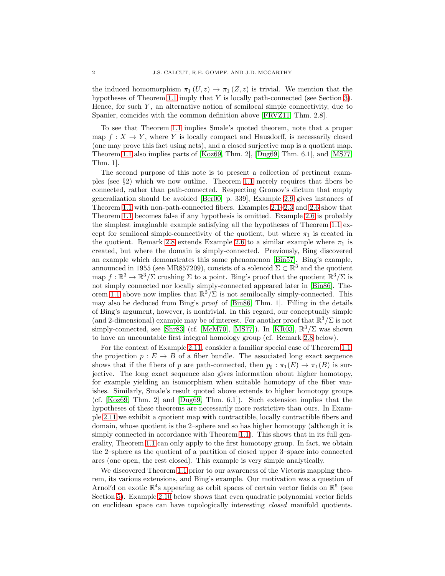the induced homomorphism  $\pi_1(U, z) \to \pi_1(Z, z)$  is trivial. We mention that the hypotheses of Theorem [1.1](#page-1-1) imply that Y is locally path-connected (see Section [3\)](#page-8-0). Hence, for such  $Y$ , an alternative notion of semilocal simple connectivity, due to Spanier, coincides with the common definition above [\[FRVZ11,](#page-12-9) Thm. 2.8].

To see that Theorem [1.1](#page-1-1) implies Smale's quoted theorem, note that a proper map  $f: X \to Y$ , where Y is locally compact and Hausdorff, is necessarily closed (one may prove this fact using nets), and a closed surjective map is a quotient map. Theorem [1.1](#page-1-1) also implies parts of [\[Koz69,](#page-12-10) Thm. 2], [\[Dug69,](#page-12-11) Thm. 6.1], and [\[MS77,](#page-12-12) Thm. 1].

The second purpose of this note is to present a collection of pertinent examples (see  $\S$ 2) which we now outline. Theorem [1.1](#page-1-1) merely requires that fibers be connected, rather than path-connected. Respecting Gromov's dictum that empty generalization should be avoided [\[Ber00,](#page-11-2) p. 339], Example [2.9](#page-6-0) gives instances of Theorem [1.1](#page-1-1) with non-path-connected fibers. Examples [2.1–](#page-3-0)[2.3](#page-3-1) and [2.6](#page-4-0) show that Theorem [1.1](#page-1-1) becomes false if any hypothesis is omitted. Example [2.6](#page-4-0) is probably the simplest imaginable example satisfying all the hypotheses of Theorem [1.1](#page-1-1) except for semilocal simple-connectivity of the quotient, but where  $\pi_1$  is created in the quotient. Remark [2.8](#page-5-0) extends Example [2.6](#page-4-0) to a similar example where  $\pi_1$  is created, but where the domain is simply-connected. Previously, Bing discovered an example which demonstrates this same phenomenon [\[Bin57\]](#page-11-3). Bing's example, announced in 1955 (see MR857209), consists of a solenoid  $\Sigma \subset \mathbb{R}^3$  and the quotient map  $f : \mathbb{R}^3 \to \mathbb{R}^3/\Sigma$  crushing  $\Sigma$  to a point. Bing's proof that the quotient  $\mathbb{R}^3/\Sigma$  is not simply connected nor locally simply-connected appeared later in [\[Bin86\]](#page-11-4). The-orem [1.1](#page-1-1) above now implies that  $\mathbb{R}^3/\Sigma$  is not semilocally simply-connected. This may also be deduced from Bing's *proof* of [\[Bin86,](#page-11-4) Thm. 1]. Filling in the details of Bing's argument, however, is nontrivial. In this regard, our conceptually simple (and 2-dimensional) example may be of interest. For another proof that  $\mathbb{R}^3/\Sigma$  is not simply-connected, see [\[Shr83\]](#page-12-13) (cf. [\[McM70\]](#page-12-14), [\[MS77\]](#page-12-12)). In [\[KR03\]](#page-12-15),  $\mathbb{R}^3/\Sigma$  was shown to have an uncountable first integral homology group (cf. Remark [2.8](#page-5-0) below).

For the context of Example [2.11,](#page-7-0) consider a familiar special case of Theorem [1.1,](#page-1-1) the projection  $p : E \to B$  of a fiber bundle. The associated long exact sequence shows that if the fibers of p are path-connected, then  $p_{\sharp}: \pi_1(E) \to \pi_1(B)$  is sur-<br>incting. The large space converge also gives information about higher hamotopy. jective. The long exact sequence also gives information about higher homotopy, for example yielding an isomorphism when suitable homotopy of the fiber vanishes. Similarly, Smale's result quoted above extends to higher homotopy groups (cf. [\[Koz69,](#page-12-10) Thm. 2] and [\[Dug69,](#page-12-11) Thm. 6.1]). Such extension implies that the hypotheses of these theorems are necessarily more restrictive than ours. In Example [2.11](#page-7-0) we exhibit a quotient map with contractible, locally contractible fibers and domain, whose quotient is the 2–sphere and so has higher homotopy (although it is simply connected in accordance with Theorem [1.1\)](#page-1-1). This shows that in its full generality, Theorem [1.1](#page-1-1) can only apply to the first homotopy group. In fact, we obtain the 2–sphere as the quotient of a partition of closed upper 3–space into connected arcs (one open, the rest closed). This example is very simple analytically.

We discovered Theorem [1.1](#page-1-1) prior to our awareness of the Vietoris mapping theorem, its various extensions, and Bing's example. Our motivation was a question of Arnol'd on exotic  $\mathbb{R}^4$ s appearing as orbit spaces of certain vector fields on  $\mathbb{R}^5$  (see Section [5\)](#page-11-5). Example [2.10](#page-6-1) below shows that even quadratic polynomial vector fields on euclidean space can have topologically interesting *closed* manifold quotients.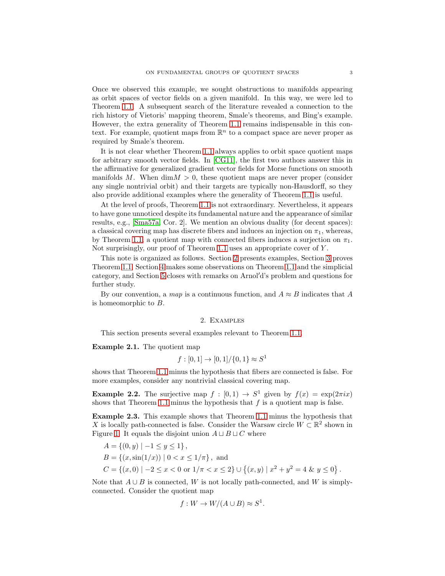Once we observed this example, we sought obstructions to manifolds appearing as orbit spaces of vector fields on a given manifold. In this way, we were led to Theorem [1.1.](#page-1-1) A subsequent search of the literature revealed a connection to the rich history of Vietoris' mapping theorem, Smale's theorems, and Bing's example. However, the extra generality of Theorem [1.1](#page-1-1) remains indispensable in this context. For example, quotient maps from  $\mathbb{R}^n$  to a compact space are never proper as required by Smale's theorem.

It is not clear whether Theorem [1.1](#page-1-1) always applies to orbit space quotient maps for arbitrary smooth vector fields. In [\[CG11\]](#page-11-6), the first two authors answer this in the affirmative for generalized gradient vector fields for Morse functions on smooth manifolds M. When  $\dim M > 0$ , these quotient maps are never proper (consider any single nontrivial orbit) and their targets are typically non-Hausdorff, so they also provide additional examples where the generality of Theorem [1.1](#page-1-1) is useful.

At the level of proofs, Theorem [1.1](#page-1-1) is not extraordinary. Nevertheless, it appears to have gone unnoticed despite its fundamental nature and the appearance of similar results, e.g., [\[Sma57a,](#page-12-16) Cor. 2]. We mention an obvious duality (for decent spaces): a classical covering map has discrete fibers and induces an injection on  $\pi_1$ , whereas, by Theorem [1.1,](#page-1-1) a quotient map with connected fibers induces a surjection on  $\pi_1$ . Not surprisingly, our proof of Theorem [1.1](#page-1-1) uses an appropriate cover of Y .

This note is organized as follows. Section [2](#page-3-2) presents examples, Section [3](#page-8-0) proves Theorem [1.1,](#page-1-1) Section [4](#page-9-0) makes some observations on Theorem [1.1](#page-1-1) and the simplicial category, and Section [5](#page-11-5) closes with remarks on Arnol d's problem and questions for further study.

<span id="page-3-2"></span>By our convention, a *map* is a continuous function, and  $A \approx B$  indicates that A is homeomorphic to B.

#### 2. Examples

This section presents several examples relevant to Theorem [1.1.](#page-1-1)

<span id="page-3-0"></span>**Example 2.1.** The quotient map

$$
f:[0,1] \to [0,1]/\{0,1\} \approx S^1
$$

shows that Theorem [1.1](#page-1-1) minus the hypothesis that fibers are connected is false. For more examples, consider any nontrivial classical covering map.

**Example 2.2.** The surjective map  $f : [0,1) \rightarrow S^1$  given by  $f(x) = \exp(2\pi i x)$ shows that Theorem [1.1](#page-1-1) minus the hypothesis that  $f$  is a quotient map is false.

<span id="page-3-1"></span>**Example 2.3.** This example shows that Theorem [1.1](#page-1-1) minus the hypothesis that X is locally path-connected is false. Consider the Warsaw circle  $W \subset \mathbb{R}^2$  shown in Figure [1.](#page-4-1) It equals the disjoint union  $A \sqcup B \sqcup C$  where

$$
A = \{(0, y) \mid -1 \le y \le 1\},
$$
  
\n
$$
B = \{(x, \sin(1/x)) \mid 0 < x \le 1/\pi\}, \text{ and}
$$
  
\n
$$
C = \{(x, 0) \mid -2 \le x < 0 \text{ or } 1/\pi < x \le 2\} \cup \{(x, y) \mid x^2 + y^2 = 4 \& y \le 0\}.
$$

Note that  $A \cup B$  is connected, W is not locally path-connected, and W is simplyconnected. Consider the quotient map

$$
f: W \to W/(A \cup B) \approx S^1.
$$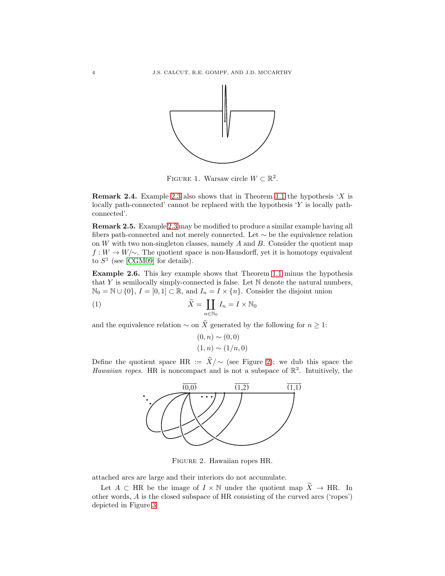

<span id="page-4-1"></span>FIGURE 1. Warsaw circle  $W \subset \mathbb{R}^2$ .

**Remark 2.4.** Example [2.3](#page-3-1) also shows that in Theorem [1.1](#page-1-1) the hypothesis  $'X$  is locally path-connected' cannot be replaced with the hypothesis  $Y$  is locally pathconnected'.

**Remark 2.5.** Example [2.3](#page-3-1) may be modified to produce a similar example having all fibers path-connected and not merely connected. Let ∼ be the equivalence relation on  $W$  with two non-singleton classes, namely  $A$  and  $B$ . Consider the quotient map  $f: W \to W/\sim$ . The quotient space is non-Hausdorff, yet it is homotopy equivalent to  $S<sup>1</sup>$  (see [\[CGM09\]](#page-11-7) for details).

<span id="page-4-0"></span>**Example 2.6.** This key example shows that Theorem [1.1](#page-1-1) minus the hypothesis that Y is semilocally simply-connected is false. Let  $\mathbb N$  denote the natural numbers,  $\mathbb{N}_0 = \mathbb{N} \cup \{0\}, I = [0, 1] \subset \mathbb{R}$ , and  $I_n = I \times \{n\}$ . Consider the disjoint union

(1) 
$$
\widetilde{X} = \coprod_{n \in \mathbb{N}_0} I_n = I \times \mathbb{N}_0
$$

and the equivalence relation  $\sim$  on X generated by the following for  $n \geq 1$ :

$$
(0, n) \sim (0, 0)
$$
  

$$
(1, n) \sim (1/n, 0)
$$

Define the quotient space HR :=  $X/\sim$  (see Figure [2\)](#page-4-2); we dub this space the *Hawaiian ropes*. HR is noncompact and is not a subspace of  $\mathbb{R}^3$ . Intuitively, the



<span id="page-4-2"></span>Figure 2. Hawaiian ropes HR.

attached arcs are large and their interiors do not accumulate.

Let  $A \subset \text{HR}$  be the image of  $I \times \mathbb{N}$  under the quotient map  $\widetilde{X} \to \text{HR}$ . In other words, A is the closed subspace of HR consisting of the curved arcs ('ropes') depicted in Figure [3.](#page-5-1)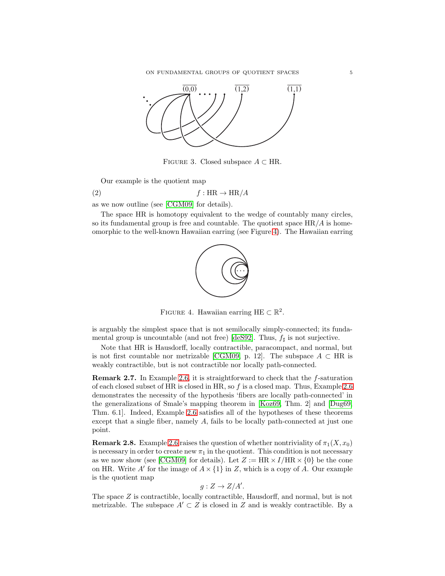

<span id="page-5-1"></span>FIGURE 3. Closed subspace  $A \subset \text{HR}$ .

Our example is the quotient map

(2)  $f : \text{HR} \to \text{HR}/A$ 

as we now outline (see [\[CGM09\]](#page-11-7) for details).

The space HR is homotopy equivalent to the wedge of countably many circles, so its fundamental group is free and countable. The quotient space  $HR/A$  is homeomorphic to the well-known Hawaiian earring (see Figure [4\)](#page-5-2). The Hawaiian earring



<span id="page-5-2"></span>FIGURE 4. Hawaiian earring HE  $\subset \mathbb{R}^2$ .

is arguably the simplest space that is not semilocally simply-connected; its funda-mental group is uncountable (and not free) [\[deS92\]](#page-12-17). Thus,  $f_{\sharp}$  is not surjective.

Note that HR is Hausdorff, locally contractible, paracompact, and normal, but is not first countable nor metrizable [\[CGM09,](#page-11-7) p. 12]. The subspace  $A \subset HR$  is weakly contractible, but is not contractible nor locally path-connected.

**Remark 2.7.** In Example [2.6,](#page-4-0) it is straightforward to check that the f-saturation of each closed subset of HR is closed in HR, so f is a closed map. Thus, Example [2.6](#page-4-0) demonstrates the necessity of the hypothesis 'fibers are locally path-connected' in the generalizations of Smale's mapping theorem in [\[Koz69,](#page-12-10) Thm. 2] and [\[Dug69,](#page-12-11) Thm. 6.1]. Indeed, Example [2.6](#page-4-0) satisfies all of the hypotheses of these theorems except that a single fiber, namely A, fails to be locally path-connected at just one point.

<span id="page-5-0"></span>**Remark 2.8.** Example [2.6](#page-4-0) raises the question of whether nontriviality of  $\pi_1(X, x_0)$ is necessary in order to create new  $\pi_1$  in the quotient. This condition is not necessary as we now show (see [\[CGM09\]](#page-11-7) for details). Let  $Z := \text{HR} \times I/\text{HR} \times \{0\}$  be the cone on HR. Write A' for the image of  $A \times \{1\}$  in Z, which is a copy of A. Our example is the quotient map

$$
g: Z \to Z/A'.
$$

The space Z is contractible, locally contractible, Hausdorff, and normal, but is not metrizable. The subspace  $A' \subset Z$  is closed in Z and is weakly contractible. By a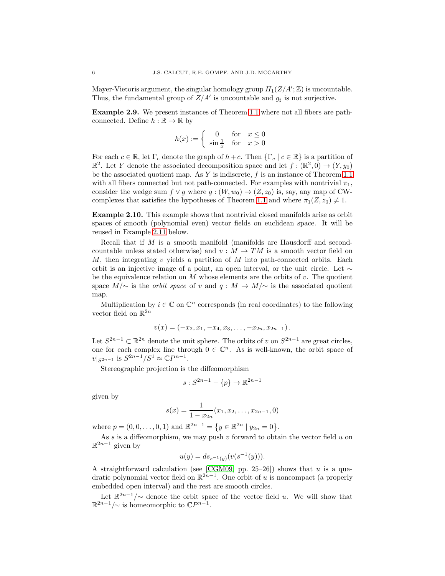Mayer-Vietoris argument, the singular homology group  $H_1(Z/A';\mathbb{Z})$  is uncountable. Thus, the fundamental group of  $Z/A'$  is uncountable and  $g_{\sharp}$  is not surjective.

<span id="page-6-0"></span>**Example 2.9.** We present instances of Theorem [1.1](#page-1-1) where not all fibers are pathconnected. Define  $h : \mathbb{R} \to \mathbb{R}$  by

$$
h(x) := \begin{cases} 0 & \text{for } x \le 0\\ \sin \frac{1}{x} & \text{for } x > 0 \end{cases}
$$

For each  $c \in \mathbb{R}$ , let  $\Gamma_c$  denote the graph of  $h+c$ . Then  $\{\Gamma_c \mid c \in \mathbb{R}\}\)$  is a partition of  $\mathbb{R}^2$ . Let Y denote the associated decomposition space and let  $f : (\mathbb{R}^2, 0) \to (Y, y_0)$ be the associated quotient map. As Y is indiscrete,  $f$  is an instance of Theorem [1.1](#page-1-1) with all fibers connected but not path-connected. For examples with nontrivial  $\pi_1$ , consider the wedge sum  $f \vee g$  where  $g : (W, w_0) \rightarrow (Z, z_0)$  is, say, any map of CW-complexes that satisfies the hypotheses of Theorem [1.1](#page-1-1) and where  $\pi_1(Z, z_0) \neq 1$ .

<span id="page-6-1"></span>**Example 2.10.** This example shows that nontrivial closed manifolds arise as orbit spaces of smooth (polynomial even) vector fields on euclidean space. It will be reused in Example [2.11](#page-7-0) below.

Recall that if M is a smooth manifold (manifolds are Hausdorff and secondcountable unless stated otherwise) and  $v : M \to TM$  is a smooth vector field on M, then integrating v yields a partition of M into path-connected orbits. Each orbit is an injective image of a point, an open interval, or the unit circle. Let  $\sim$ be the equivalence relation on  $M$  whose elements are the orbits of  $v$ . The quotient space  $M/\sim$  is the *orbit space* of v and  $q : M \to M/\sim$  is the associated quotient map.

Multiplication by  $i \in \mathbb{C}$  on  $\mathbb{C}^n$  corresponds (in real coordinates) to the following vector field on  $\mathbb{R}^{2n}$ 

$$
v(x) = (-x_2, x_1, -x_4, x_3, \ldots, -x_{2n}, x_{2n-1}).
$$

Let  $S^{2n-1} \subset \mathbb{R}^{2n}$  denote the unit sphere. The orbits of v on  $S^{2n-1}$  are great circles, one for each complex line through  $0 \in \mathbb{C}^n$ . As is well-known, the orbit space of  $v|_{S^{2n-1}}$  is  $S^{2n-1}/S^1 \approx \mathbb{C}P^{n-1}$ .

Stereographic projection is the diffeomorphism

$$
s: S^{2n-1} - \{p\} \to \mathbb{R}^{2n-1}
$$

given by

$$
s(x) = \frac{1}{1 - x_{2n}}(x_1, x_2, \dots, x_{2n-1}, 0)
$$

where  $p = (0, 0, \ldots, 0, 1)$  and  $\mathbb{R}^{2n-1} = \{ y \in \mathbb{R}^{2n} \mid y_{2n} = 0 \}.$ 

As  $s$  is a diffeomorphism, we may push  $v$  forward to obtain the vector field  $u$  on  $\mathbb{R}^{2n-1}$  given by

$$
u(y) = ds_{s^{-1}(y)}(v(s^{-1}(y))).
$$

A straightforward calculation (see [\[CGM09,](#page-11-7) pp. 25–26]) shows that  $u$  is a quadratic polynomial vector field on  $\mathbb{R}^{2n-1}$ . One orbit of u is noncompact (a properly embedded open interval) and the rest are smooth circles.

Let  $\mathbb{R}^{2n-1}/\sim$  denote the orbit space of the vector field u. We will show that  $\mathbb{R}^{2n-1}/\sim$  is homeomorphic to  $\mathbb{C}P^{n-1}$ .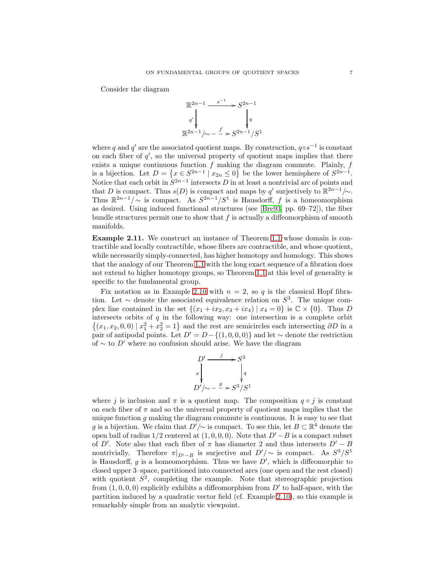Consider the diagram



where  $q$  and  $q'$  are the associated quotient maps. By construction,  $q \circ s^{-1}$  is constant on each fiber of  $q'$ , so the universal property of quotient maps implies that there exists a unique continuous function  $f$  making the diagram commute. Plainly,  $f$ is a bijection. Let  $D = \{x \in S^{2n-1} \mid x_{2n} \leq 0\}$  be the lower hemisphere of  $S^{2n-1}$ . Notice that each orbit in  $S^{2n-1}$  intersects D in at least a nontrivial arc of points and that D is compact. Thus  $s(D)$  is compact and maps by q' surjectively to  $\mathbb{R}^{2n-1}/\sim$ . Thus  $\mathbb{R}^{2n-1}/\sim$  is compact. As  $S^{2n-1}/S^1$  is Hausdorff, f is a homeomorphism as desired. Using induced functional structures (see [\[Bre93,](#page-11-8) pp. 69–72]), the fiber bundle structures permit one to show that  $f$  is actually a diffeomorphism of smooth manifolds.

<span id="page-7-0"></span>**Example 2.11.** We construct an instance of Theorem [1.1](#page-1-1) whose domain is contractible and locally contractible, whose fibers are contractible, and whose quotient, while necessarily simply-connected, has higher homotopy and homology. This shows that the analogy of our Theorem [1.1](#page-1-1) with the long exact sequence of a fibration does not extend to higher homotopy groups, so Theorem [1.1](#page-1-1) at this level of generality is specific to the fundamental group.

Fix notation as in Example [2.10](#page-6-1) with  $n = 2$ , so q is the classical Hopf fibration. Let  $\sim$  denote the associated equivalence relation on  $S^3$ . The unique complex line contained in the set  $\{(x_1 + ix_2, x_3 + ix_4) | x_4 = 0\}$  is  $\mathbb{C} \times \{0\}$ . Thus D intersects orbits of  $q$  in the following way: one intersection is a complete orbit  $\{(x_1, x_2, 0, 0) | x_1^2 + x_2^2 = 1\}$  and the rest are semicircles each intersecting  $\partial D$  in a pair of antipodal points. Let  $D' = D - \{(1, 0, 0, 0)\}\$ and let ∼ denote the restriction of  $\sim$  to D' where no confusion should arise. We have the diagram

$$
D' \xrightarrow{f} S^3
$$
  
\n
$$
\pi \downarrow q
$$
  
\n
$$
D'/\sim -\frac{g}{2} \times S^3/S^1
$$

where j is inclusion and  $\pi$  is a quotient map. The composition  $q \circ j$  is constant on each fiber of  $\pi$  and so the universal property of quotient maps implies that the unique function  $g$  making the diagram commute is continuous. It is easy to see that g is a bijection. We claim that  $D'/\sim$  is compact. To see this, let  $B \subset \mathbb{R}^4$  denote the open ball of radius  $1/2$  centered at  $(1, 0, 0, 0)$ . Note that  $D'-B$  is a compact subset of D'. Note also that each fiber of  $\pi$  has diameter 2 and thus intersects  $D' - B$ nontrivially. Therefore  $\pi|_{D'-B}$  is surjective and  $D'/\sim$  is compact. As  $S^3/S^1$ <br>is Hausdorff a is a homeomorphism. Thus we have  $D'$  which is diffeomorphic to is Hausdorff, g is a homeomorphism. Thus we have  $D'$ , which is diffeomorphic to closed upper 3–space, partitioned into connected arcs (one open and the rest closed) with quotient  $S^2$ , completing the example. Note that stereographic projection from  $(1, 0, 0, 0)$  explicitly exhibits a diffeomorphism from  $D'$  to half-space, with the partition induced by a quadratic vector field (cf. Example [2.10\)](#page-6-1), so this example is remarkably simple from an analytic viewpoint.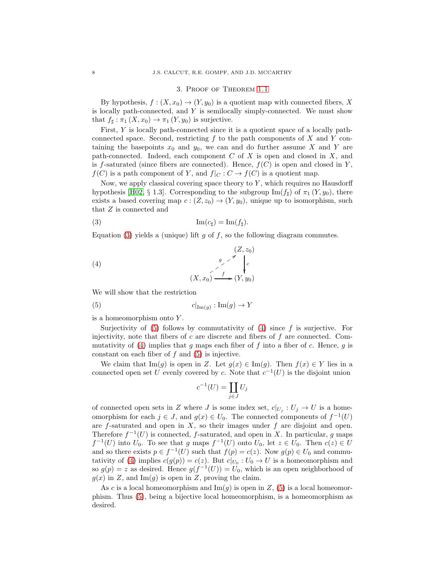#### 3. Proof of Theorem [1.1](#page-1-1)

<span id="page-8-0"></span>By hypothesis,  $f : (X, x_0) \to (Y, y_0)$  is a quotient map with connected fibers, X is locally path-connected, and  $Y$  is semilocally simply-connected. We must show that  $f_{\sharp}: \pi_1(X, x_0) \to \pi_1(Y, y_0)$  is surjective.

First,  $Y$  is locally path-connected since it is a quotient space of a locally pathconnected space. Second, restricting  $f$  to the path components of  $X$  and  $Y$  containing the basepoints  $x_0$  and  $y_0$ , we can and do further assume X and Y are path-connected. Indeed, each component  $C$  of  $X$  is open and closed in  $X$ , and is f-saturated (since fibers are connected). Hence,  $f(C)$  is open and closed in Y,  $f(C)$  is a path component of Y, and  $f|_C : C \to f(C)$  is a quotient map.

Now, we apply classical covering space theory to  $Y$ , which requires no Hausdorff hypothesis [\[H02,](#page-12-18) § 1.3]. Corresponding to the subgroup  $\text{Im}(f_{\sharp})$  of  $\pi_1(Y, y_0)$ , there exists a based covering map  $c:(Z, z_0) \to (Y, y_0)$ , unique up to isomorphism, such that Z is connected and

<span id="page-8-1"></span>(3) 
$$
\operatorname{Im}(c_{\sharp}) = \operatorname{Im}(f_{\sharp}).
$$

Equation [\(3\)](#page-8-1) yields a (unique) lift g of f, so the following diagram commutes.

<span id="page-8-3"></span>(4) 
$$
\begin{array}{ccc}\n (Z, z_0) \\
& \searrow & \nearrow & \searrow \\
(X, x_0) & \xrightarrow{f} & (Y, y_0)\n\end{array}
$$

We will show that the restriction

(5) 
$$
c|_{\text{Im}(g)} : \text{Im}(g) \to Y
$$

is a homeomorphism onto Y .

Surjectivity of  $(5)$  follows by commutativity of  $(4)$  since f is surjective. For injectivity, note that fibers of  $c$  are discrete and fibers of  $f$  are connected. Com-mutativity of [\(4\)](#page-8-3) implies that q maps each fiber of f into a fiber of c. Hence, q is constant on each fiber of  $f$  and  $(5)$  is injective.

We claim that Im(g) is open in Z. Let  $g(x) \in \text{Im}(g)$ . Then  $f(x) \in Y$  lies in a connected open set U evenly covered by c. Note that  $c^{-1}(U)$  is the disjoint union

<span id="page-8-2"></span>
$$
c^{-1}(U) = \coprod_{j \in J} U_j
$$

of connected open sets in Z where J is some index set,  $c|_{U_j}: U_j \to U$  is a homeomorphism for each  $j \in J$ , and  $g(x) \in U_0$ . The connected components of  $f^{-1}(U)$ are  $f$ -saturated and open in  $X$ , so their images under  $f$  are disjoint and open. Therefore  $f^{-1}(U)$  is connected, f-saturated, and open in X. In particular, g maps  $f^{-1}(U)$  into  $U_0$ . To see that g maps  $f^{-1}(U)$  onto  $U_0$ , let  $z \in U_0$ . Then  $c(z) \in U$ and so there exists  $p \in f^{-1}(U)$  such that  $f(p) = c(z)$ . Now  $g(p) \in U_0$  and commu-tativity of [\(4\)](#page-8-3) implies  $c(g(p)) = c(z)$ . But  $c|_{U_0} : U_0 \to U$  is a homeomorphism and so  $g(p) = z$  as desired. Hence  $g(f^{-1}(U)) = U_0$ , which is an open neighborhood of  $g(x)$  in Z, and Im(g) is open in Z, proving the claim.

As c is a local homeomorphism and  $\text{Im}(g)$  is open in Z, [\(5\)](#page-8-2) is a local homeomorphism. Thus [\(5\)](#page-8-2), being a bijective local homeomorphism, is a homeomorphism as desired.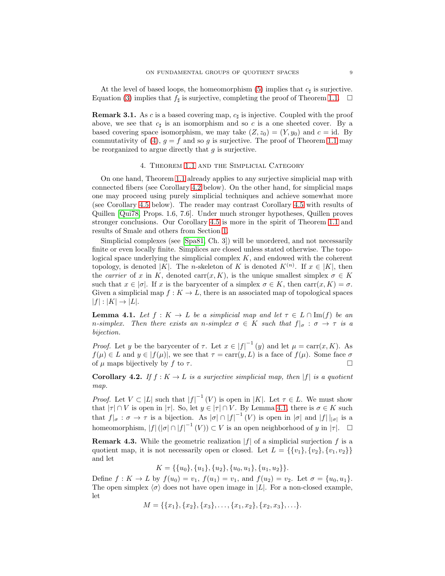At the level of based loops, the homeomorphism [\(5\)](#page-8-2) implies that  $c_{\sharp}$  is surjective. Equation [\(3\)](#page-8-1) implies that  $f_{\sharp}$  is surjective, completing the proof of Theorem [1.1.](#page-1-1)  $\Box$ 

**Remark 3.1.** As c is a based covering map,  $c_{\sharp}$  is injective. Coupled with the proof above, we see that  $c_{\sharp}$  is an isomorphism and so c is a one sheeted cover. By a<br>heard covering grass isomorphism we may take  $(Z_{\sharp})$   $(X_{\sharp})$  and a side By based covering space isomorphism, we may take  $(Z, z_0)=(Y, y_0)$  and  $c = id$ . By commutativity of [\(4\)](#page-8-3),  $g = f$  and so g is surjective. The proof of Theorem [1.1](#page-1-1) may be reorganized to argue directly that  $q$  is surjective.

#### 4. Theorem [1.1](#page-1-1) and the Simplicial Category

<span id="page-9-0"></span>On one hand, Theorem [1.1](#page-1-1) already applies to any surjective simplicial map with connected fibers (see Corollary [4.2](#page-9-1) below). On the other hand, for simplicial maps one may proceed using purely simplicial techniques and achieve somewhat more (see Corollary [4.5](#page-10-0) below). The reader may contrast Corollary [4.5](#page-10-0) with results of Quillen [\[Qui78,](#page-12-19) Props. 1.6, 7.6]. Under much stronger hypotheses, Quillen proves stronger conclusions. Our Corollary [4.5](#page-10-0) is more in the spirit of Theorem [1.1](#page-1-1) and results of Smale and others from Section [1.](#page-1-2)

Simplicial complexes (see [\[Spa81,](#page-12-20) Ch. 3]) will be unordered, and not necessarily finite or even locally finite. Simplices are closed unless stated otherwise. The topological space underlying the simplicial complex  $K$ , and endowed with the coherent topology, is denoted |K|. The n-skeleton of K is denoted  $K^{(n)}$ . If  $x \in |K|$ , then the *carrier* of x in K, denoted carr $(x, K)$ , is the unique smallest simplex  $\sigma \in K$ such that  $x \in |\sigma|$ . If x is the barycenter of a simplex  $\sigma \in K$ , then  $\text{carr}(x, K) = \sigma$ . Given a simplicial map  $f : K \to L$ , there is an associated map of topological spaces  $|f| : |K| \rightarrow |L|.$ 

<span id="page-9-2"></span>**Lemma 4.1.** *Let*  $f : K \to L$  *be a simplicial map and let*  $\tau \in L \cap \text{Im}(f)$  *be an n*-simplex. Then there exists an *n*-simplex  $\sigma \in K$  such that  $f|_{\sigma} : \sigma \to \tau$  is a *bijection.*

*Proof.* Let y be the barycenter of  $\tau$ . Let  $x \in |f|^{-1}(y)$  and let  $\mu = \text{carr}(x, K)$ . As  $f(\mu) \in L$  and  $y \in |f(\mu)|$ , we see that  $\tau = \text{carr}(y, L)$  is a face of  $f(\mu)$ . Some face  $\sigma$ of  $\mu$  maps bijectively by f to  $\tau$ .

<span id="page-9-1"></span>**Corollary 4.2.** *If*  $f : K \to L$  *is a surjective simplicial map, then*  $|f|$  *is a quotient map.*

*Proof.* Let  $V \subset |L|$  such that  $|f|^{-1}(V)$  is open in |K|. Let  $\tau \in L$ . We must show that  $|\tau| \cap V$  is open in  $|\tau|$ . So, let  $y \in |\tau| \cap V$ . By Lemma [4.1,](#page-9-2) there is  $\sigma \in K$  such that  $f|_{\sigma} : \sigma \to \tau$  is a bijection. As  $|\sigma| \cap |f|^{-1}(V)$  is open in  $|\sigma|$  and  $|f||_{|\sigma|}$  is a homeomorphism,  $|f|(|\sigma| \cap |f|^{-1}(V)) \subset V$  is an open neighborhood of y in  $|\tau|$ .  $\Box$ 

<span id="page-9-3"></span>**Remark 4.3.** While the geometric realization  $|f|$  of a simplicial surjection f is a quotient map, it is not necessarily open or closed. Let  $L = \{\{v_1\}, \{v_2\}, \{v_1, v_2\}\}\$ and let

 $K = \{\{u_0\}, \{u_1\}, \{u_2\}, \{u_0, u_1\}, \{u_1, u_2\}\}.$ 

Define  $f: K \to L$  by  $f(u_0) = v_1$ ,  $f(u_1) = v_1$ , and  $f(u_2) = v_2$ . Let  $\sigma = \{u_0, u_1\}$ . The open simplex  $\langle \sigma \rangle$  does not have open image in |L|. For a non-closed example, let

$$
M = \{\{x_1\}, \{x_2\}, \{x_3\}, \ldots, \{x_1, x_2\}, \{x_2, x_3\}, \ldots\}.
$$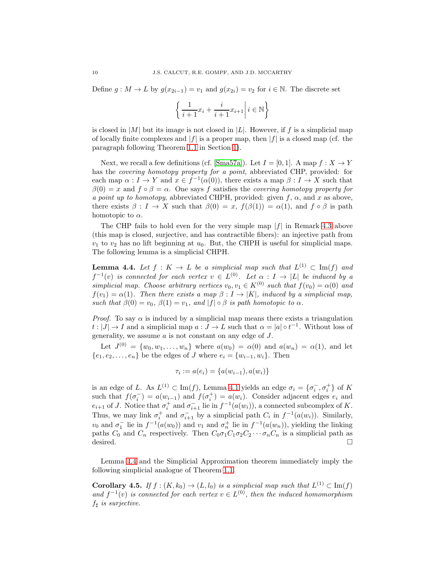Define  $g: M \to L$  by  $g(x_{2i-1}) = v_1$  and  $g(x_{2i}) = v_2$  for  $i \in \mathbb{N}$ . The discrete set

$$
\left\{\left.\frac{1}{i+1}x_i+\frac{i}{i+1}x_{i+1}\right| i\in\mathbb{N}\right\}
$$

is closed in |M| but its image is not closed in |L|. However, if f is a simplicial map of locally finite complexes and  $|f|$  is a proper map, then  $|f|$  is a closed map (cf. the paragraph following Theorem [1.1](#page-1-1) in Section [1\)](#page-1-2).

Next, we recall a few definitions (cf. [\[Sma57a\]](#page-12-16)). Let  $I = [0, 1]$ . A map  $f : X \to Y$ has the *covering homotopy property for a point*, abbreviated CHP, provided: for each map  $\alpha : I \to Y$  and  $x \in f^{-1}(\alpha(0))$ , there exists a map  $\beta : I \to X$  such that  $\beta(0) = x$  and  $f \circ \beta = \alpha$ . One says f satisfies the *covering homotopy property for a point up to homotopy*, abbreviated CHPH, provided: given  $f$ ,  $\alpha$ , and x as above, there exists  $\beta : I \to X$  such that  $\beta(0) = x$ ,  $f(\beta(1)) = \alpha(1)$ , and  $f \circ \beta$  is path homotopic to  $\alpha$ .

The CHP fails to hold even for the very simple map  $|f|$  in Remark [4.3](#page-9-3) above (this map is closed, surjective, and has contractible fibers): an injective path from  $v_1$  to  $v_2$  has no lift beginning at  $u_0$ . But, the CHPH is useful for simplicial maps. The following lemma is a simplicial CHPH.

<span id="page-10-1"></span>**Lemma 4.4.** Let  $f: K \to L$  be a simplicial map such that  $L^{(1)} \subset \text{Im}(f)$  and  $f^{-1}(v)$  *is connected for each vertex*  $v \in L^{(0)}$ *. Let*  $\alpha : I \to |L|$  *be induced by a simplicial map. Choose arbitrary vertices*  $v_0, v_1 \in K^{(0)}$  *such that*  $f(v_0) = \alpha(0)$  *and*  $f(v_1) = \alpha(1)$ *. Then there exists a map*  $\beta : I \to |K|$ *, induced by a simplicial map, such that*  $\beta(0) = v_0$ ,  $\beta(1) = v_1$ , and  $|f| \circ \beta$  *is path homotopic to*  $\alpha$ *.* 

*Proof.* To say  $\alpha$  is induced by a simplicial map means there exists a triangulation  $t: |J| \to I$  and a simplicial map  $a: J \to L$  such that  $\alpha = |a| \circ t^{-1}$ . Without loss of generality, we assume  $a$  is not constant on any edge of  $J$ .

Let  $J^{(0)} = \{w_0, w_1, \ldots, w_n\}$  where  $a(w_0) = \alpha(0)$  and  $a(w_n) = \alpha(1)$ , and let  $\{e_1, e_2, \ldots, e_n\}$  be the edges of J where  $e_i = \{w_{i-1}, w_i\}$ . Then

$$
\tau_i := a(e_i) = \{a(w_{i-1}), a(w_i)\}\
$$

is an edge of L. As  $L^{(1)} \text{ }\subset \text{Im}(f)$ , Lemma [4.1](#page-9-2) yields an edge  $\sigma_i = {\sigma_i^-, \sigma_i^+}$  of K<br>sugh that  $f(\tau^-) = g(w_1)$  and  $f(\tau^+) = g(w_1)$ . Consider adjacent edges e and such that  $f(\sigma_i^-) = a(w_{i-1})$  and  $f(\sigma_i^+) = a(w_i)$ . Consider adjacent edges  $e_i$  and  $e_{i+1}$  of J. Notice that  $\sigma_i^+$  and  $\sigma_{i+1}^-$  lie in  $f^{-1}(a(w_i))$ , a connected subcomplex of K.<br>Thus, we may link  $\sigma_i^+$  and  $\sigma_{i+1}^-$  by a simplicial path  $C_i$  in  $f^{-1}(a(w_i))$ . Similarly,  $v_0$  and  $\sigma_1^-$  lie in  $f^{-1}(a(w_0))$  and  $v_1$  and  $\sigma_n^+$  lie in  $f^{-1}(a(w_n))$ , yielding the linking<br>paths  $C_2$  and  $C_1$  respectively. Then  $C_2 \sigma C_1 \sigma C_2 \cdots \sigma C_n$  is a simplicial path as paths  $C_0$  and  $C_n$  respectively. Then  $C_0 \sigma_1 C_1 \sigma_2 C_2 \cdots \sigma_n C_n$  is a simplicial path as desired. desired.  $\Box$  $\Box$ 

Lemma [4.4](#page-10-1) and the Simplicial Approximation theorem immediately imply the following simplicial analogue of Theorem [1.1.](#page-1-1)

<span id="page-10-0"></span>**Corollary 4.5.** *If*  $f : (K, k_0) \to (L, l_0)$  *is a simplicial map such that*  $L^{(1)} \subset \text{Im}(f)$ *and*  $f^{-1}(v)$  *is connected for each vertex*  $v \in L^{(0)}$ *, then the induced homomorphism*  $f_{\sharp}$  *is surjective.*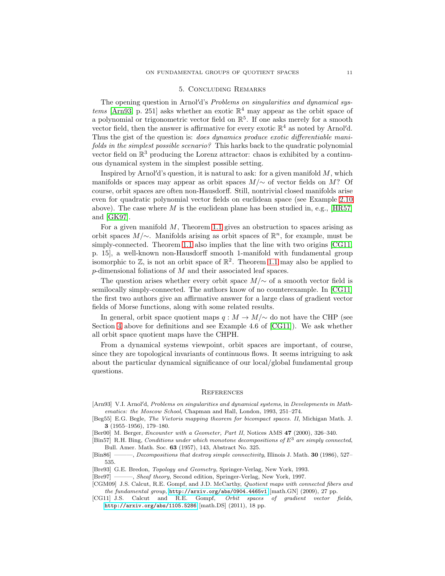#### 5. Concluding Remarks

<span id="page-11-5"></span>The opening question in Arnol d's *Problems on singularities and dynamical systems* [\[Arn93,](#page-11-9) p. 251] asks whether an exotic  $\mathbb{R}^4$  may appear as the orbit space of a polynomial or trigonometric vector field on  $\mathbb{R}^5$ . If one asks merely for a smooth vector field, then the answer is affirmative for every exotic  $\mathbb{R}^4$  as noted by Arnol'd. Thus the gist of the question is: *does dynamics produce exotic differentiable manifolds in the simplest possible scenario?* This harks back to the quadratic polynomial vector field on  $\mathbb{R}^3$  producing the Lorenz attractor: chaos is exhibited by a continuous dynamical system in the simplest possible setting.

Inspired by Arnol'd's question, it is natural to ask: for a given manifold  $M$ , which manifolds or spaces may appear as orbit spaces  $M/\sim$  of vector fields on M? Of course, orbit spaces are often non-Hausdorff. Still, nontrivial closed manifolds arise even for quadratic polynomial vector fields on euclidean space (see Example [2.10](#page-6-1) above). The case where M is the euclidean plane has been studied in, e.g.,  $[HR57]$ and [\[GK97\]](#page-12-22).

For a given manifold  $M$ , Theorem [1.1](#page-1-1) gives an obstruction to spaces arising as orbit spaces  $M/\sim$ . Manifolds arising as orbit spaces of  $\mathbb{R}^n$ , for example, must be simply-connected. Theorem [1.1](#page-1-1) also implies that the line with two origins [\[CG11,](#page-11-6) p. 15], a well-known non-Hausdorff smooth 1-manifold with fundamental group isomorphic to  $\mathbb{Z}$ , is not an orbit space of  $\mathbb{R}^2$ . Theorem [1.1](#page-1-1) may also be applied to p-dimensional foliations of M and their associated leaf spaces.

The question arises whether every orbit space  $M/\sim$  of a smooth vector field is semilocally simply-connected. The authors know of no counterexample. In [\[CG11\]](#page-11-6) the first two authors give an affirmative answer for a large class of gradient vector fields of Morse functions, along with some related results.

In general, orbit space quotient maps  $q : M \to M/\sim$  do not have the CHP (see Section [4](#page-9-0) above for definitions and see Example 4.6 of [\[CG11\]](#page-11-6)). We ask whether all orbit space quotient maps have the CHPH.

From a dynamical systems viewpoint, orbit spaces are important, of course, since they are topological invariants of continuous flows. It seems intriguing to ask about the particular dynamical significance of our local/global fundamental group questions.

#### **REFERENCES**

- <span id="page-11-9"></span>[Arn93] V.I. Arnol'd, Problems on singularities and dynamical systems, in Developments in Mathematics: the Moscow School, Chapman and Hall, London, 1993, 251–274.
- <span id="page-11-0"></span>[Beg55] E.G. Begle, The Vietoris mapping theorem for bicompact spaces. II, Michigan Math. J. **3** (1955–1956), 179–180.
- <span id="page-11-2"></span>[Ber00] M. Berger, Encounter with a Geometer, Part II, Notices AMS **47** (2000), 326–340.
- <span id="page-11-3"></span>[Bin57] R.H. Bing, Conditions under which monotone decompositions of *E*<sup>3</sup> are simply connected, Bull. Amer. Math. Soc. **63** (1957), 143, Abstract No. 325.
- <span id="page-11-4"></span>[Bin86] ———, Decompositions that destroy simple connectivity, Illinois J. Math. **30** (1986), 527– 535.
- <span id="page-11-8"></span>[Bre93] G.E. Bredon, Topology and Geometry, Springer-Verlag, New York, 1993.
- <span id="page-11-1"></span>[Bre97] ——, *Sheaf theory*, Second edition, Springer-Verlag, New York, 1997. [CGM09] J.S. Calcut, R.E. Gompf, and J.D. McCarthy, Quotient maps with connected fibers and
- <span id="page-11-7"></span>the fundamental group, <http://arxiv.org/abs/0904.4465v1> [math.GN] (2009), 27 pp.
- <span id="page-11-6"></span>[CG11] J.S. Calcut and R.E. Gompf, Orbit spaces of gradient vector fields, <http://arxiv.org/abs/1105.5286> [math.DS] (2011), 18 pp.